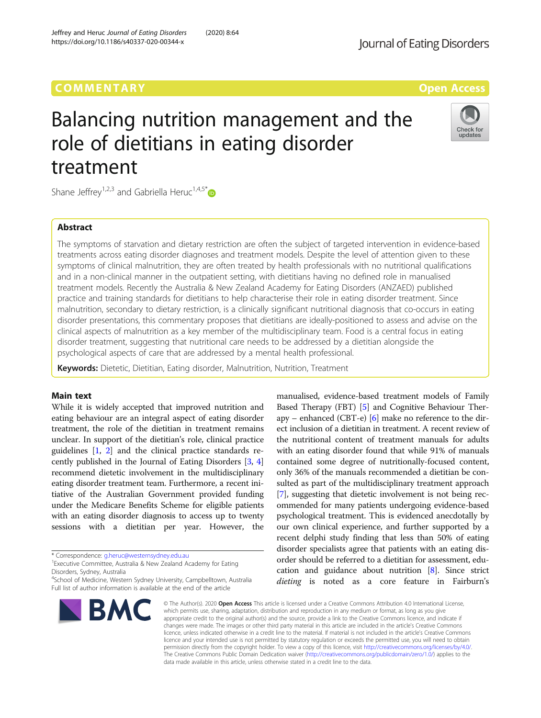# Balancing nutrition management and the role of dietitians in eating disorder treatment

Shane Jeffrey<sup>1,2,3</sup> and Gabriella Heruc<sup>1,4,5\*</sup>

### Abstract

The symptoms of starvation and dietary restriction are often the subject of targeted intervention in evidence-based treatments across eating disorder diagnoses and treatment models. Despite the level of attention given to these symptoms of clinical malnutrition, they are often treated by health professionals with no nutritional qualifications and in a non-clinical manner in the outpatient setting, with dietitians having no defined role in manualised treatment models. Recently the Australia & New Zealand Academy for Eating Disorders (ANZAED) published practice and training standards for dietitians to help characterise their role in eating disorder treatment. Since malnutrition, secondary to dietary restriction, is a clinically significant nutritional diagnosis that co-occurs in eating disorder presentations, this commentary proposes that dietitians are ideally-positioned to assess and advise on the clinical aspects of malnutrition as a key member of the multidisciplinary team. Food is a central focus in eating disorder treatment, suggesting that nutritional care needs to be addressed by a dietitian alongside the psychological aspects of care that are addressed by a mental health professional.

Keywords: Dietetic, Dietitian, Eating disorder, Malnutrition, Nutrition, Treatment

#### Main text

While it is widely accepted that improved nutrition and eating behaviour are an integral aspect of eating disorder treatment, the role of the dietitian in treatment remains unclear. In support of the dietitian's role, clinical practice guidelines [[1,](#page-2-0) [2](#page-2-0)] and the clinical practice standards recently published in the Journal of Eating Disorders [\[3,](#page-2-0) [4](#page-2-0)] recommend dietetic involvement in the multidisciplinary eating disorder treatment team. Furthermore, a recent initiative of the Australian Government provided funding under the Medicare Benefits Scheme for eligible patients with an eating disorder diagnosis to access up to twenty sessions with a dietitian per year. However, the

4 School of Medicine, Western Sydney University, Campbelltown, Australia Full list of author information is available at the end of the article





© The Author(s), 2020 **Open Access** This article is licensed under a Creative Commons Attribution 4.0 International License, which permits use, sharing, adaptation, distribution and reproduction in any medium or format, as long as you give appropriate credit to the original author(s) and the source, provide a link to the Creative Commons licence, and indicate if changes were made. The images or other third party material in this article are included in the article's Creative Commons licence, unless indicated otherwise in a credit line to the material. If material is not included in the article's Creative Commons licence and your intended use is not permitted by statutory regulation or exceeds the permitted use, you will need to obtain permission directly from the copyright holder. To view a copy of this licence, visit [http://creativecommons.org/licenses/by/4.0/.](http://creativecommons.org/licenses/by/4.0/) The Creative Commons Public Domain Dedication waiver [\(http://creativecommons.org/publicdomain/zero/1.0/](http://creativecommons.org/publicdomain/zero/1.0/)) applies to the data made available in this article, unless otherwise stated in a credit line to the data.



Check for updates

<sup>\*</sup> Correspondence: [g.heruc@westernsydney.edu.au](mailto:g.heruc@westernsydney.edu.au) <sup>1</sup>

<sup>&</sup>lt;sup>1</sup> Executive Committee, Australia & New Zealand Academy for Eating Disorders, Sydney, Australia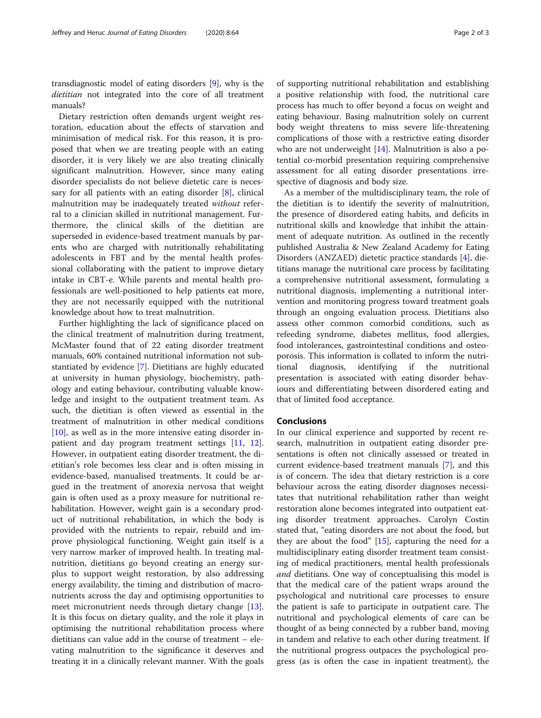transdiagnostic model of eating disorders [[9](#page-2-0)], why is the dietitian not integrated into the core of all treatment manuals?

Dietary restriction often demands urgent weight restoration, education about the effects of starvation and minimisation of medical risk. For this reason, it is proposed that when we are treating people with an eating disorder, it is very likely we are also treating clinically significant malnutrition. However, since many eating disorder specialists do not believe dietetic care is neces-sary for all patients with an eating disorder [\[8](#page-2-0)], clinical malnutrition may be inadequately treated without referral to a clinician skilled in nutritional management. Furthermore, the clinical skills of the dietitian are superseded in evidence-based treatment manuals by parents who are charged with nutritionally rehabilitating adolescents in FBT and by the mental health professional collaborating with the patient to improve dietary intake in CBT-e. While parents and mental health professionals are well-positioned to help patients eat more, they are not necessarily equipped with the nutritional knowledge about how to treat malnutrition.

Further highlighting the lack of significance placed on the clinical treatment of malnutrition during treatment, McMaster found that of 22 eating disorder treatment manuals, 60% contained nutritional information not substantiated by evidence [\[7](#page-2-0)]. Dietitians are highly educated at university in human physiology, biochemistry, pathology and eating behaviour, contributing valuable knowledge and insight to the outpatient treatment team. As such, the dietitian is often viewed as essential in the treatment of malnutrition in other medical conditions  $[10]$  $[10]$ , as well as in the more intensive eating disorder inpatient and day program treatment settings [[11](#page-2-0), [12](#page-2-0)]. However, in outpatient eating disorder treatment, the dietitian's role becomes less clear and is often missing in evidence-based, manualised treatments. It could be argued in the treatment of anorexia nervosa that weight gain is often used as a proxy measure for nutritional rehabilitation. However, weight gain is a secondary product of nutritional rehabilitation, in which the body is provided with the nutrients to repair, rebuild and improve physiological functioning. Weight gain itself is a very narrow marker of improved health. In treating malnutrition, dietitians go beyond creating an energy surplus to support weight restoration, by also addressing energy availability, the timing and distribution of macronutrients across the day and optimising opportunities to meet micronutrient needs through dietary change [\[13](#page-2-0)]. It is this focus on dietary quality, and the role it plays in optimising the nutritional rehabilitation process where dietitians can value add in the course of treatment – elevating malnutrition to the significance it deserves and treating it in a clinically relevant manner. With the goals of supporting nutritional rehabilitation and establishing a positive relationship with food, the nutritional care process has much to offer beyond a focus on weight and eating behaviour. Basing malnutrition solely on current body weight threatens to miss severe life-threatening complications of those with a restrictive eating disorder who are not underweight [[14\]](#page-2-0). Malnutrition is also a potential co-morbid presentation requiring comprehensive assessment for all eating disorder presentations irrespective of diagnosis and body size.

As a member of the multidisciplinary team, the role of the dietitian is to identify the severity of malnutrition, the presence of disordered eating habits, and deficits in nutritional skills and knowledge that inhibit the attainment of adequate nutrition. As outlined in the recently published Australia & New Zealand Academy for Eating Disorders (ANZAED) dietetic practice standards [[4\]](#page-2-0), dietitians manage the nutritional care process by facilitating a comprehensive nutritional assessment, formulating a nutritional diagnosis, implementing a nutritional intervention and monitoring progress toward treatment goals through an ongoing evaluation process. Dietitians also assess other common comorbid conditions, such as refeeding syndrome, diabetes mellitus, food allergies, food intolerances, gastrointestinal conditions and osteoporosis. This information is collated to inform the nutritional diagnosis, identifying if the nutritional presentation is associated with eating disorder behaviours and differentiating between disordered eating and that of limited food acceptance.

#### Conclusions

In our clinical experience and supported by recent research, malnutrition in outpatient eating disorder presentations is often not clinically assessed or treated in current evidence-based treatment manuals [\[7](#page-2-0)], and this is of concern. The idea that dietary restriction is a core behaviour across the eating disorder diagnoses necessitates that nutritional rehabilitation rather than weight restoration alone becomes integrated into outpatient eating disorder treatment approaches. Carolyn Costin stated that, "eating disorders are not about the food, but they are about the food" [[15\]](#page-2-0), capturing the need for a multidisciplinary eating disorder treatment team consisting of medical practitioners, mental health professionals and dietitians. One way of conceptualising this model is that the medical care of the patient wraps around the psychological and nutritional care processes to ensure the patient is safe to participate in outpatient care. The nutritional and psychological elements of care can be thought of as being connected by a rubber band, moving in tandem and relative to each other during treatment. If the nutritional progress outpaces the psychological progress (as is often the case in inpatient treatment), the